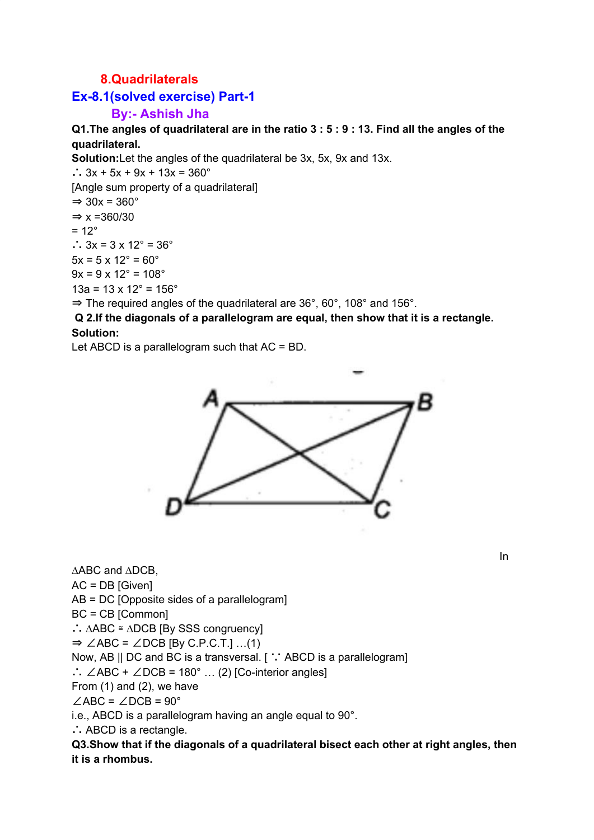## **8.Quadrilaterals**

## **Ex-8.1(solved exercise) Part-1**

## **By:- Ashish Jha**

Q1. The angles of quadrilateral are in the ratio  $3:5:9:13$ . Find all the angles of the **quadrilateral.**

**Solution:**Let the angles of the quadrilateral be 3x, 5x, 9x and 13x.

∴  $3x + 5x + 9x + 13x = 360^\circ$ [Angle sum property of a quadrilateral]  $\Rightarrow$  30x = 360 $^{\circ}$  $\Rightarrow$  x =360/30  $= 12^{\circ}$ ∴  $3x = 3 \times 12^\circ = 36^\circ$  $5x = 5 \times 12^{\circ} = 60^{\circ}$  $9x = 9 \times 12^{\circ} = 108^{\circ}$  $13a = 13 \times 12^{\circ} = 156^{\circ}$  $\Rightarrow$  The required angles of the quadrilateral are 36°, 60°, 108° and 156°.

**Q 2.If the diagonals of a parallelogram are equal, then show that it is a rectangle. Solution:**

Let ABCD is a parallelogram such that AC = BD.



∆ABC and ∆DCB, AC = DB [Given] AB = DC [Opposite sides of a parallelogram] BC = CB [Common] ∴ ∆ABC ≅ ∆DCB [By SSS congruency]  $\Rightarrow$  ∠ABC = ∠DCB [By C.P.C.T.] …(1) Now, AB || DC and BC is a transversal. [ ∵ ABCD is a parallelogram] ∴  $\angle$ ABC +  $\angle$ DCB = 180° ... (2) [Co-interior angles] From (1) and (2), we have  $\angle$ ABC =  $\angle$ DCB = 90° i.e., ABCD is a parallelogram having an angle equal to 90°. ∴ ABCD is a rectangle.

**Q3.Show that if the diagonals of a quadrilateral bisect each other at right angles, then it is a rhombus.**

In